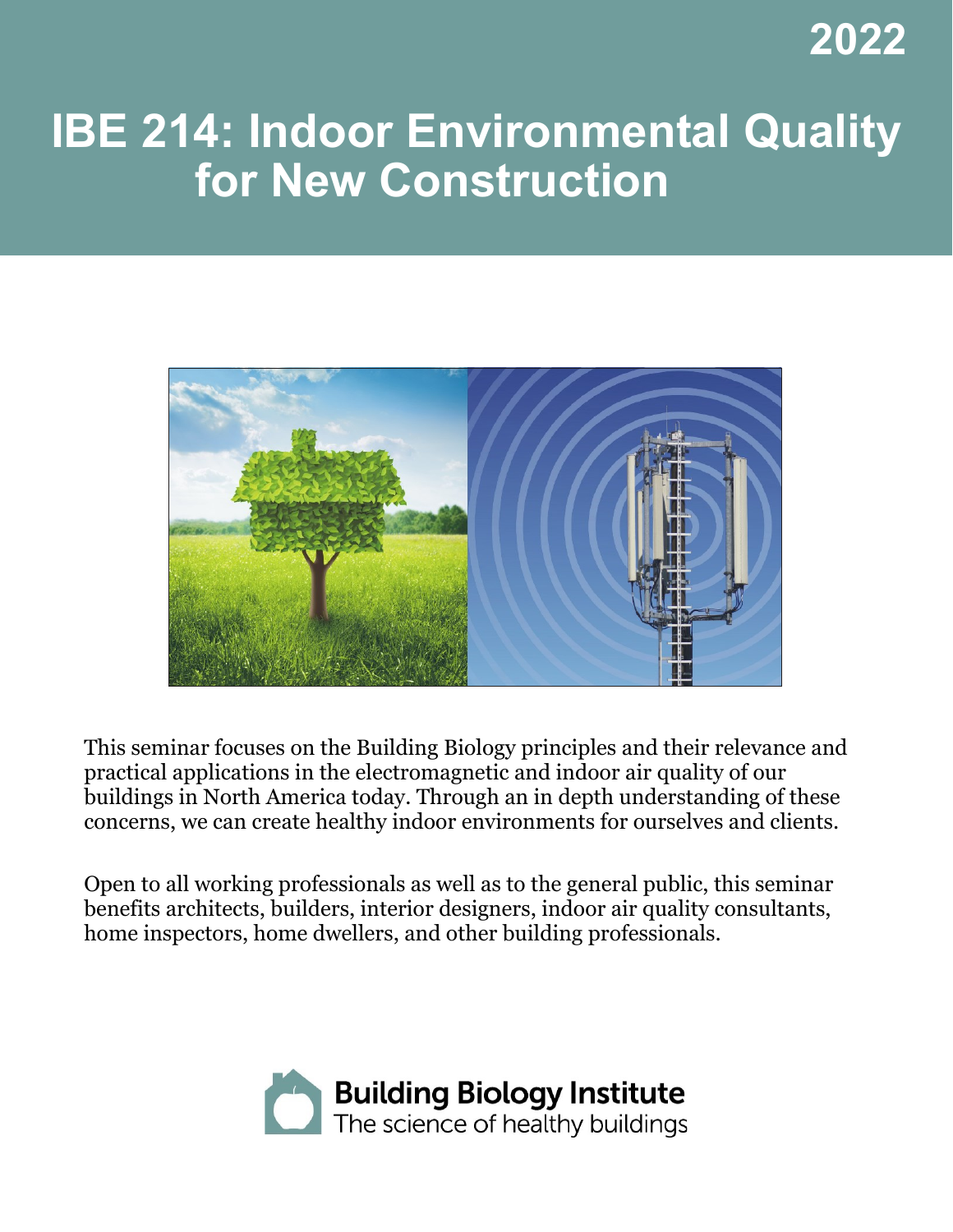**2022**

# **IBE 214: Indoor Environmental Quality for New Construction**



This seminar focuses on the Building Biology principles and their relevance and practical applications in the electromagnetic and indoor air quality of our buildings in North America today. Through an in depth understanding of these concerns, we can create healthy indoor environments for ourselves and clients.

Open to all working professionals as well as to the general public, this seminar benefits architects, builders, interior designers, indoor air quality consultants, home inspectors, home dwellers, and other building professionals.

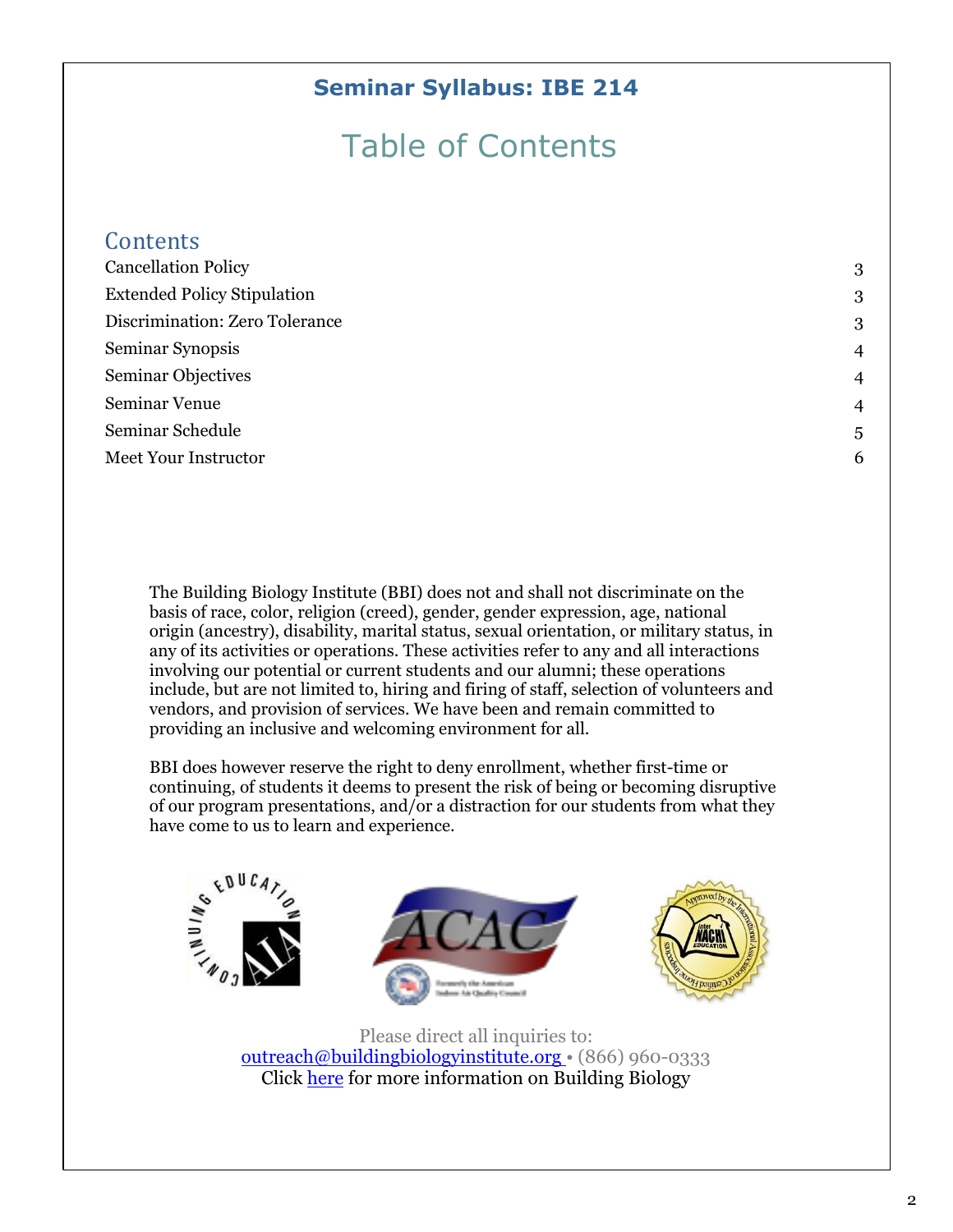#### **Seminar Syllabus: IBE 214**

## Table of Contents

| Contents                           |                |
|------------------------------------|----------------|
| <b>Cancellation Policy</b>         | 3              |
| <b>Extended Policy Stipulation</b> | 3              |
| Discrimination: Zero Tolerance     | 3              |
| Seminar Synopsis                   | $\overline{4}$ |
| <b>Seminar Objectives</b>          | $\overline{4}$ |
| Seminar Venue                      | $\overline{4}$ |
| Seminar Schedule                   | 5              |
| Meet Your Instructor               | 6              |

The Building Biology Institute (BBI) does not and shall not discriminate on the basis of race, color, religion (creed), gender, gender expression, age, national origin (ancestry), disability, marital status, sexual orientation, or military status, in any of its activities or operations. These activities refer to any and all interactions involving our potential or current students and our alumni; these operations include, but are not limited to, hiring and firing of staff, selection of volunteers and vendors, and provision of services. We have been and remain committed to providing an inclusive and welcoming environment for all.

BBI does however reserve the right to deny enrollment, whether first-time or continuing, of students it deems to present the risk of being or becoming disruptive of our program presentations, and/or a distraction for our students from what they have come to us to learn and experience.



Please direct all inquiries to: [outreach@buildingbiologyinstitute.org](mailto:outreach@buildingbiologyinstitute.org) • (866) 960-0333 Click [here](http://buildingbiologyinstitute.org/) for more information on Building Biology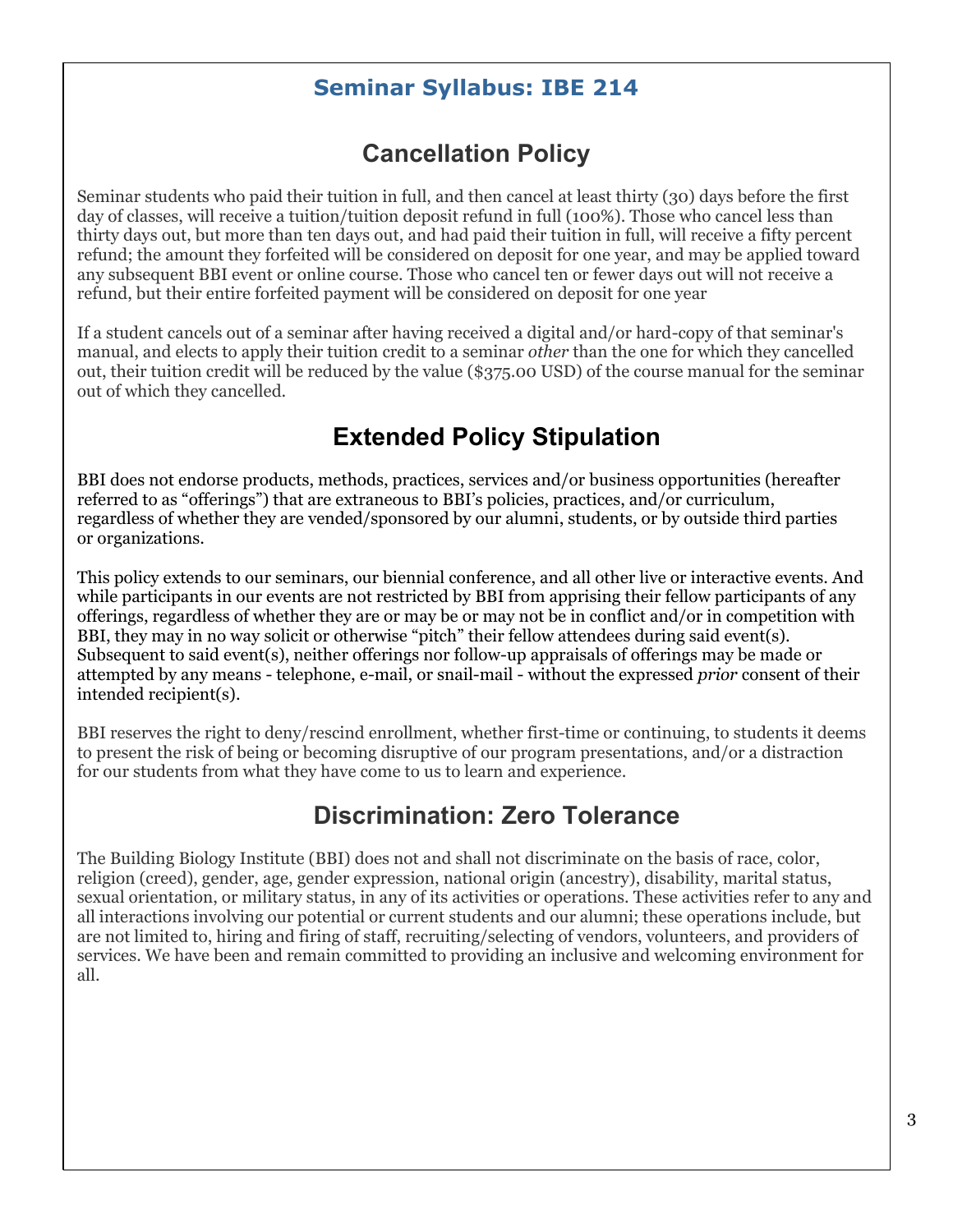#### **Seminar Syllabus: IBE 214**

## **Cancellation Policy**

<span id="page-2-0"></span>Seminar students who paid their tuition in full, and then cancel at least thirty (30) days before the first day of classes, will receive a tuition/tuition deposit refund in full (100%). Those who cancel less than thirty days out, but more than ten days out, and had paid their tuition in full, will receive a fifty percent refund; the amount they forfeited will be considered on deposit for one year, and may be applied toward any subsequent BBI event or online course. Those who cancel ten or fewer days out will not receive a refund, but their entire forfeited payment will be considered on deposit for one year

If a student cancels out of a seminar after having received a digital and/or hard-copy of that seminar's manual, and elects to apply their tuition credit to a seminar *other* than the one for which they cancelled out, their tuition credit will be reduced by the value (\$375.00 USD) of the course manual for the seminar out of which they cancelled.

## **Extended Policy Stipulation**

<span id="page-2-1"></span>BBI does not endorse products, methods, practices, services and/or business opportunities (hereafter referred to as "offerings") that are extraneous to BBI's policies, practices, and/or curriculum, regardless of whether they are vended/sponsored by our alumni, students, or by outside third parties or organizations.

This policy extends to our seminars, our biennial conference, and all other live or interactive events. And while participants in our events are not restricted by BBI from apprising their fellow participants of any offerings, regardless of whether they are or may be or may not be in conflict and/or in competition with BBI, they may in no way solicit or otherwise "pitch" their fellow attendees during said event(s). Subsequent to said event(s), neither offerings nor follow-up appraisals of offerings may be made or attempted by any means - telephone, e-mail, or snail-mail - without the expressed *prior* consent of their intended recipient(s).

BBI reserves the right to deny/rescind enrollment, whether first-time or continuing, to students it deems to present the risk of being or becoming disruptive of our program presentations, and/or a distraction for our students from what they have come to us to learn and experience.

## **Discrimination: Zero Tolerance**

<span id="page-2-2"></span>The Building Biology Institute (BBI) does not and shall not discriminate on the basis of race, color, religion (creed), gender, age, gender expression, national origin (ancestry), disability, marital status, sexual orientation, or military status, in any of its activities or operations. These activities refer to any and all interactions involving our potential or current students and our alumni; these operations include, but are not limited to, hiring and firing of staff, recruiting/selecting of vendors, volunteers, and providers of services. We have been and remain committed to providing an inclusive and welcoming environment for all.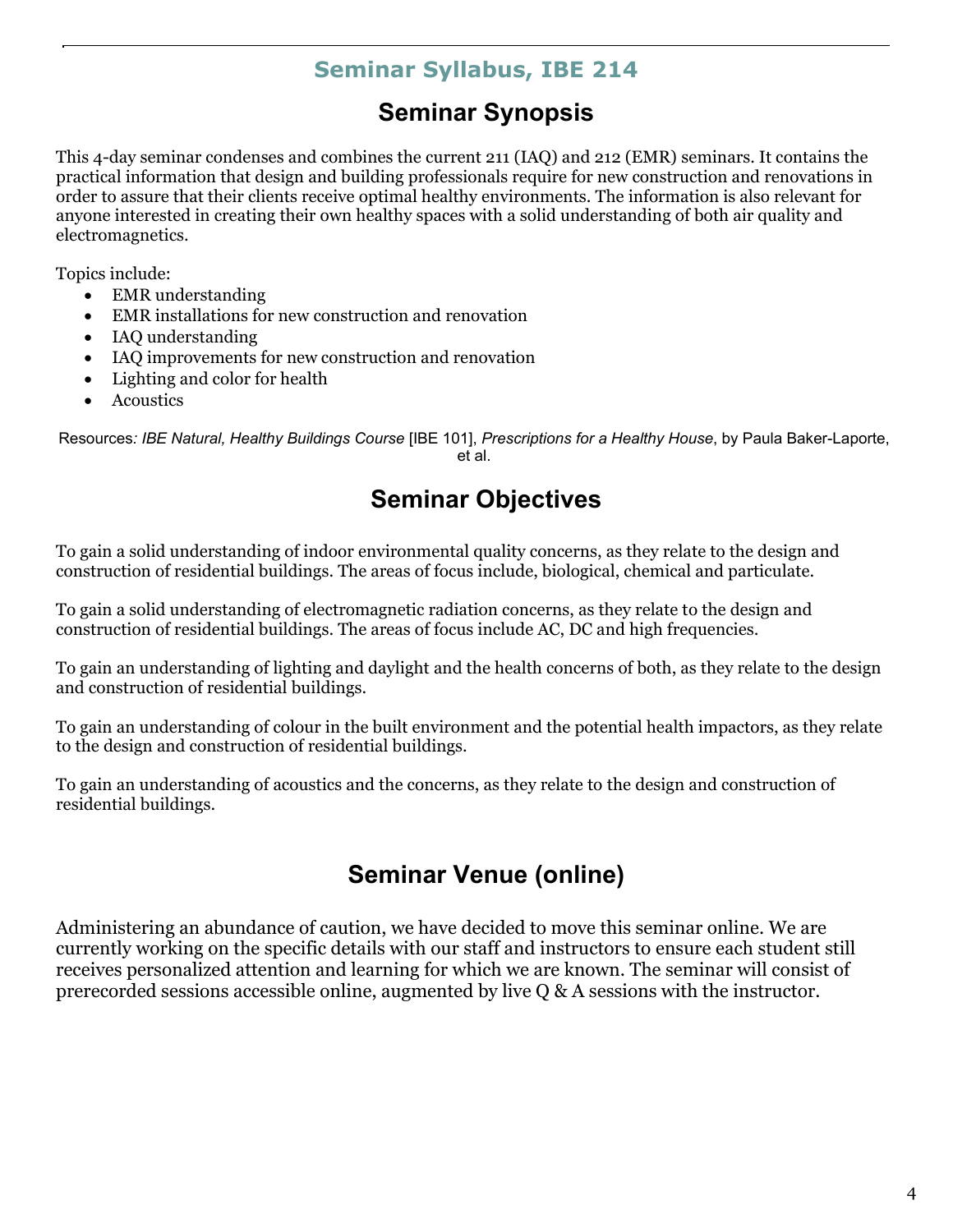#### **Seminar Syllabus, IBE 214**

## **Seminar Synopsis**

<span id="page-3-0"></span>This 4-day seminar condenses and combines the current 211 (IAQ) and 212 (EMR) seminars. It contains the practical information that design and building professionals require for new construction and renovations in order to assure that their clients receive optimal healthy environments. The information is also relevant for anyone interested in creating their own healthy spaces with a solid understanding of both air quality and electromagnetics.

Topics include:

- EMR understanding
- EMR installations for new construction and renovation
- IAQ understanding
- IAQ improvements for new construction and renovation
- Lighting and color for health
- Acoustics

<span id="page-3-1"></span>Resources*: IBE Natural, Healthy Buildings Course* [IBE 101], *Prescriptions for a Healthy House*, by Paula Baker-Laporte, et al.

## **Seminar Objectives**

To gain a solid understanding of indoor environmental quality concerns, as they relate to the design and construction of residential buildings. The areas of focus include, biological, chemical and particulate.

To gain a solid understanding of electromagnetic radiation concerns, as they relate to the design and construction of residential buildings. The areas of focus include AC, DC and high frequencies.

To gain an understanding of lighting and daylight and the health concerns of both, as they relate to the design and construction of residential buildings.

To gain an understanding of colour in the built environment and the potential health impactors, as they relate to the design and construction of residential buildings.

To gain an understanding of acoustics and the concerns, as they relate to the design and construction of residential buildings.

## **Seminar Venue (online)**

<span id="page-3-2"></span>Administering an abundance of caution, we have decided to move this seminar online. We are currently working on the specific details with our staff and instructors to ensure each student still receives personalized attention and learning for which we are known. The seminar will consist of prerecorded sessions accessible online, augmented by live Q & A sessions with the instructor.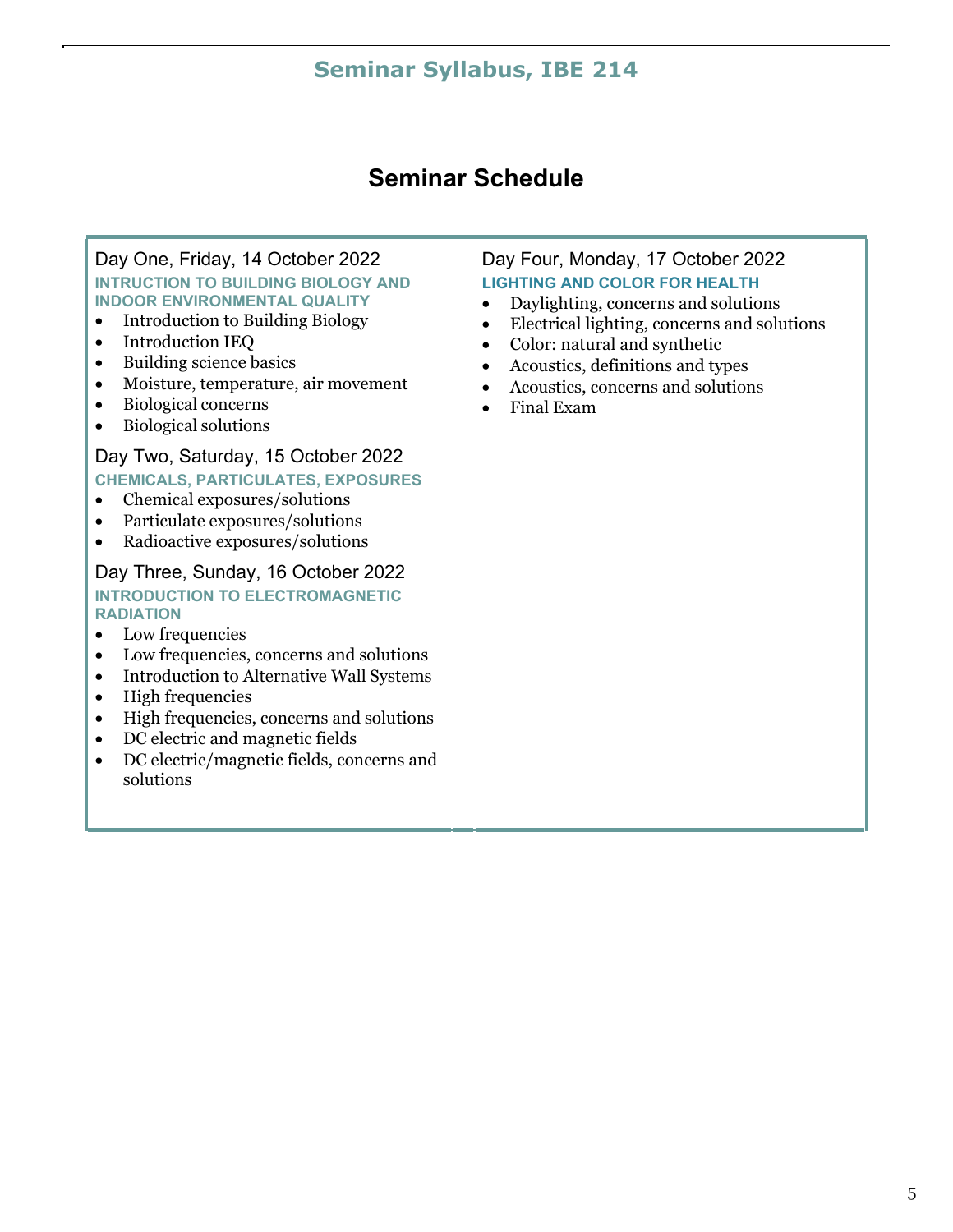#### **Seminar Syllabus, IBE 214**

#### **Seminar Schedule**

#### <span id="page-4-0"></span>Day One, Friday, 14 October 2022 **INTRUCTION TO BUILDING BIOLOGY AND INDOOR ENVIRONMENTAL QUALITY**

- Introduction to Building Biology
- Introduction IEQ
- Building science basics
- Moisture, temperature, air movement
- Biological concerns
- Biological solutions

#### Day Two, Saturday, 15 October 2022 **CHEMICALS, PARTICULATES, EXPOSURES**

- Chemical exposures/solutions
- Particulate exposures/solutions
- Radioactive exposures/solutions

#### Day Three, Sunday, 16 October 2022 **INTRODUCTION TO ELECTROMAGNETIC RADIATION**

- Low frequencies
- Low frequencies, concerns and solutions
- Introduction to Alternative Wall Systems
- High frequencies
- High frequencies, concerns and solutions
- DC electric and magnetic fields
- DC electric/magnetic fields, concerns and solutions

#### Day Four, Monday, 17 October 2022 **LIGHTING AND COLOR FOR HEALTH**

- Daylighting, concerns and solutions
- Electrical lighting, concerns and solutions
- Color: natural and synthetic
- Acoustics, definitions and types
- Acoustics, concerns and solutions
- Final Exam